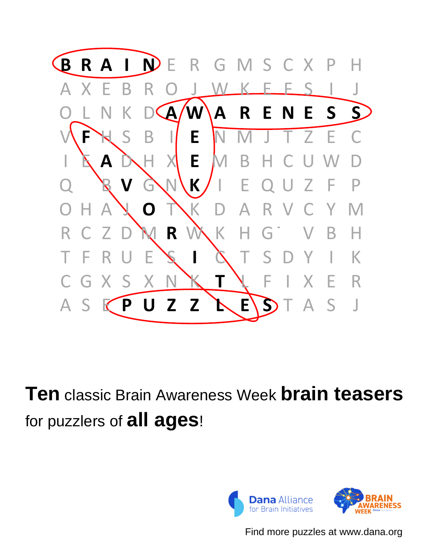

**Ten** classic Brain Awareness Week **brain teasers** for puzzlers of **all ages**!



Find more puzzles at www.dana.org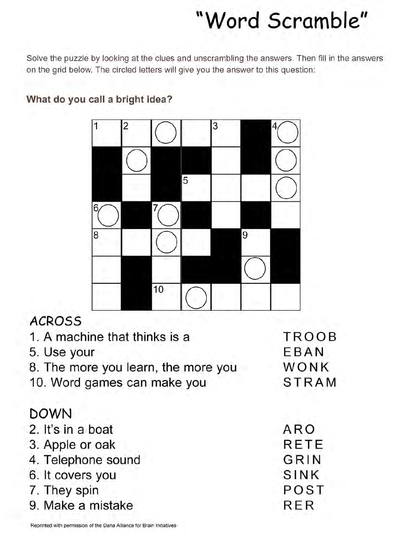## "Word Scramble"

Solve the puzzle by looking at the clues and unscrambling the answers. Then fill in the answers on the grid below. The circled letters will give you the answer to this question:

## What do you call a bright idea?



## **ACROSS**

| 1. A machine that thinks is a       | <b>TROOB</b> |
|-------------------------------------|--------------|
| 5. Use your                         | EBAN         |
| 8. The more you learn, the more you | <b>WONK</b>  |
| 10. Word games can make you         | <b>STRAM</b> |
| <b>DOWN</b>                         |              |
| 2. It's in a boat                   | ARO          |
| 3. Apple or oak                     | <b>RETE</b>  |
| 4. Telephone sound                  | GRIN         |
| 6. It covers you                    | SINK         |
| 7. They spin                        | POST         |
| 9. Make a mistake                   | RER          |

Reprinted with permission of the Dana Alliance for Brain Initiatives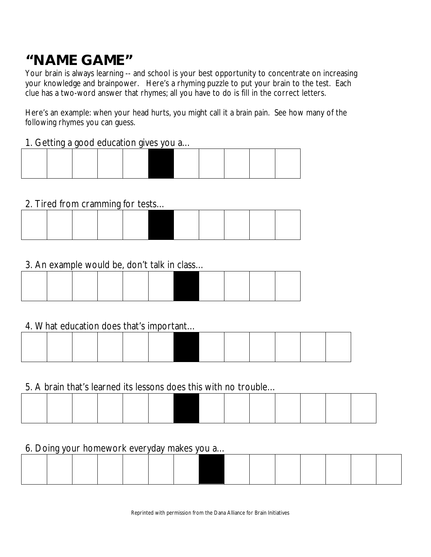## **"NAME GAME"**

Your brain is always learning -- and school is your best opportunity to concentrate on increasing your knowledge and brainpower. Here's a rhyming puzzle to put your brain to the test. Each clue has a two-word answer that rhymes; all you have to do is fill in the correct letters.

Here's an example: when your head hurts, you might call it a *brain pain*. See how many of the following rhymes you can guess.

### 1. Getting a good education gives you a…

## 2. Tired from cramming for tests…

## 3. An example would be, don't talk in class…

## 4. What education does that's important…

#### 5. A brain that's learned its lessons does this with no trouble…

#### 6. Doing your homework everyday makes you a…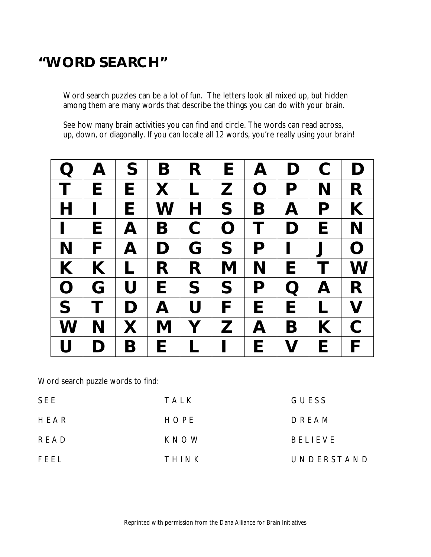## **"WORD SEARCH"**

Word search puzzles can be a lot of fun. The letters look all mixed up, but hidden among them are many words that describe the things you can do with your brain.

See how many brain activities you can find and circle. The words can read across, up, down, or diagonally. If you can locate all 12 words, you're really using your brain!

| $\mathbf Q$    | A                        | S                         | B                         | R | E              | A            | D                                                                                                                         | $\mathbf C$           | D              |
|----------------|--------------------------|---------------------------|---------------------------|---|----------------|--------------|---------------------------------------------------------------------------------------------------------------------------|-----------------------|----------------|
| T              | E                        | E                         | X                         | L | $\mathbf{Z}$   | $\mathbf O$  | P                                                                                                                         | N                     | R              |
| $\mathsf{H}$   | $\overline{\phantom{a}}$ | E                         | W                         | H | S              | B            | $\boldsymbol{\mathsf{A}}$                                                                                                 | P                     | K              |
| $\blacksquare$ | E                        | $\boldsymbol{\mathsf{A}}$ | B                         | C | $\overline{O}$ | Τ            | D                                                                                                                         | E                     | N              |
| N              | F                        | $\boldsymbol{\mathsf{A}}$ | D                         | G | S              | P            | $\mathbf{I}$                                                                                                              | $\mathbf{\mathsf{J}}$ | $\overline{O}$ |
| K              | K                        | $\mathbf{I}$              | R                         | R | M              | N            | E                                                                                                                         |                       | W              |
| $\mathbf O$    | G                        | U                         | E                         | S | S              | P            | $\overline{O}$                                                                                                            | A                     | R.             |
| S              | Τ                        | D                         | $\boldsymbol{\mathsf{A}}$ | U | F              | E            | E                                                                                                                         | L                     | $\mathbf V$    |
| W              | N                        | X                         | M                         | Y | Z              | $\mathbf{A}$ | B                                                                                                                         | K                     | $\mathsf C$    |
| U              | D                        | Β                         | E                         | L | L              | E            | $\mathsf{V}% _{0}\!\left( \mathcal{N}_{0}\right) ^{T}\!\left( \mathcal{N}_{0}\right) ^{T}\!\left( \mathcal{N}_{0}\right)$ | E                     | F              |

Word search puzzle words to find:

| SEE  | TALK  | GUESS          |
|------|-------|----------------|
| HEAR | HOPE  | DREAM          |
| READ | KNOW  | <b>BELIEVE</b> |
| FEEL | THINK | UNDERSTAND     |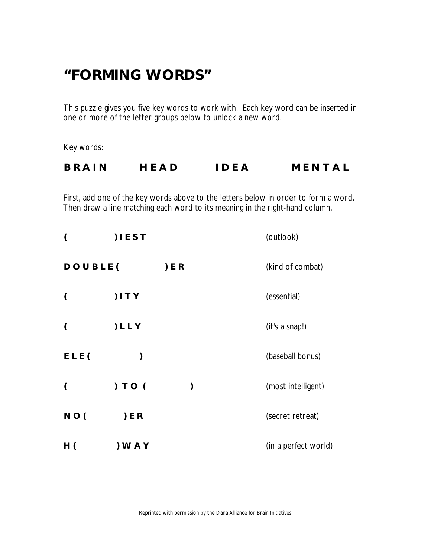## **"FORMING WORDS"**

This puzzle gives you five key words to work with. Each key word can be inserted in one or more of the letter groups below to unlock a new word.

Key words:

| <b>BRAIN</b> | HEAD | <b>IDEA</b> | MENTAL |
|--------------|------|-------------|--------|
|              |      |             |        |

First, add one of the key words above to the letters below in order to form a word. Then draw a line matching each word to its meaning in the right-hand column.

| $\overline{\mathcal{L}}$ | IET       |        | (outlook)            |
|--------------------------|-----------|--------|----------------------|
| DOUBLE(                  |           | $E$ ER | (kind of combat)     |
| $\overline{\mathcal{L}}$ | ) I T Y   |        | (essential)          |
| $\overline{ }$           | ) L L Y   |        | (it's a snap!)       |
| ELE(                     | ⟩         |        | (baseball bonus)     |
| $\overline{ }$           | ) TO (    | ⟩      | (most intelligent)   |
| NO(                      | $E$ ER    |        | (secret retreat)     |
| H(                       | $)$ W A Y |        | (in a perfect world) |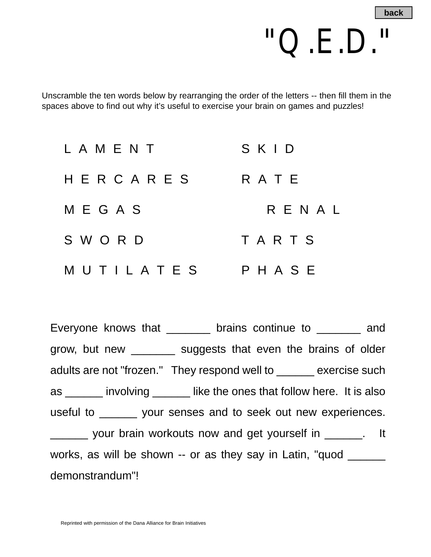

Unscramble the ten words below by rearranging the order of the letters -- then fill them in the spaces above to find out why it's useful to exercise your brain on games and puzzles!

| L A M E N T | SKID    |
|-------------|---------|
| HERCARES    | R A T E |
| M E G A S   | RENAL   |
| SWORD       | TARTS   |
| MUTILATES   | PHASE   |

Everyone knows that \_\_\_\_\_\_\_ brains continue to \_\_\_\_\_\_\_ and grow, but new \_\_\_\_\_\_\_ suggests that even the brains of older adults are not "frozen." They respond well to \_\_\_\_\_\_ exercise such as \_\_\_\_\_\_ involving \_\_\_\_\_\_ like the ones that follow here. It is also useful to \_\_\_\_\_\_ your senses and to seek out new experiences. your brain workouts now and get yourself in \_\_\_\_\_\_. It works, as will be shown -- or as they say in Latin, "quod \_\_\_\_\_\_ demonstrandum"!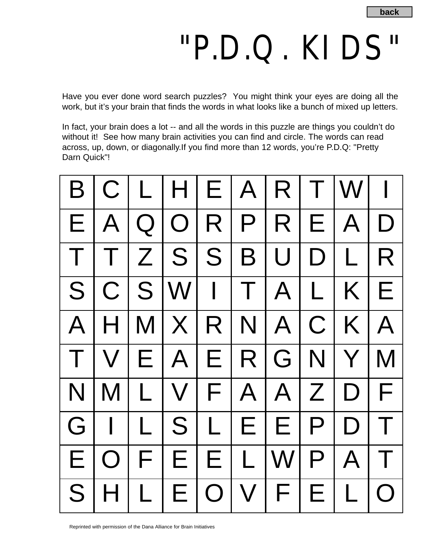## "P.D.Q. KIDS"

Have you ever done word search puzzles? You might think your eyes are doing all the work, but it's your brain that finds the words in what looks like a bunch of mixed up letters.

In fact, your brain does a lot -- and all the words in this puzzle are things you couldn't do without it! See how many brain activities you can find and circle. The words can read across, up, down, or diagonally.If you find more than 12 words, you're P.D.Q: "Pretty Darn Quick"!

| B        |            |              |     |            |              | C L H E A R                                        | T                      | $W$   $\mid$ |            |
|----------|------------|--------------|-----|------------|--------------|----------------------------------------------------|------------------------|--------------|------------|
|          | E A        |              |     |            |              | Q O R P R                                          |                        | E A D        |            |
|          |            |              |     |            |              | T T Z S S B U D L R                                |                        |              |            |
|          |            |              |     |            |              | $\overline{S}$   C   S   W   I   T   A   L   K   E |                        |              |            |
| $A \mid$ | $H \mid$   |              |     |            |              | M[X R N A C K A                                    |                        |              |            |
|          |            |              |     |            |              | V E A E R G N                                      |                        | Y            | M          |
| N        |            |              |     |            |              | M L V F A A Z D F                                  |                        |              |            |
|          |            |              |     |            |              | GIILSLIEEPDI                                       |                        |              | $\top$     |
| Е        | $\bigcirc$ |              | F E | E.         | $\mathsf{L}$ | W                                                  | $\mathsf{P}\mathsf{l}$ | A T          |            |
| S        | H          | $\mathsf{L}$ | E.  | $\bigcirc$ |              | V F                                                | E                      | $\lfloor$    | $\bigcirc$ |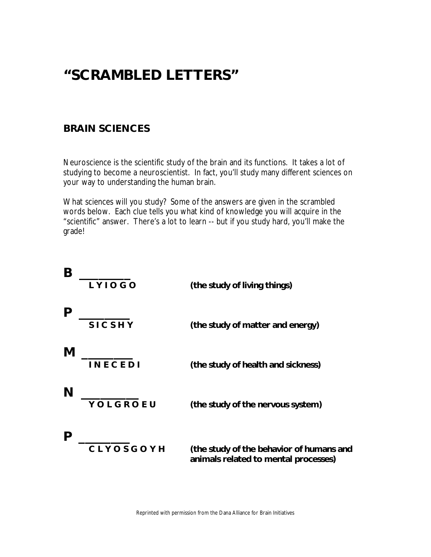## **"SCRAMBLED LETTERS"**

#### **BRAIN SCIENCES**

Neuroscience is the scientific study of the brain and its functions. It takes a lot of studying to become a neuroscientist. In fact, you'll study many different sciences on your way to understanding the human brain.

What sciences will you study? Some of the answers are given in the scrambled words below. Each clue tells you what kind of knowledge you will acquire in the "scientific" answer. There's a lot to learn -- but if you study hard, you'll make the grade!

| Β | LYIOGO         | (the study of living things)                                                     |
|---|----------------|----------------------------------------------------------------------------------|
|   | <b>SICSHY</b>  | (the study of matter and energy)                                                 |
| M | <b>INECEDI</b> | (the study of health and sickness)                                               |
| N | YOLGROEU       | (the study of the nervous system)                                                |
|   | CLYOSGOYH      | (the study of the behavior of humans and<br>animals related to mental processes) |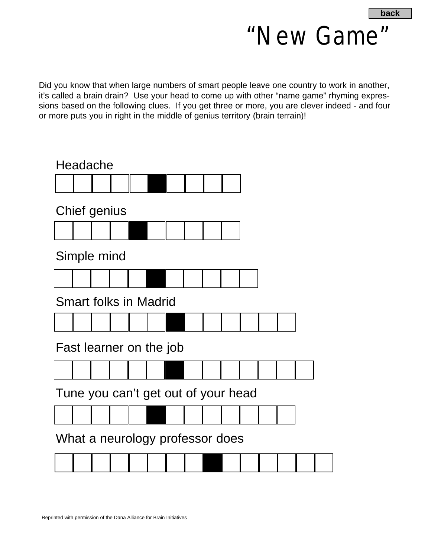

Did you know that when large numbers of smart people leave one country to work in another, it's called a brain drain? Use your head to come up with other "name game" rhyming expressions based on the following clues. If you get three or more, you are clever indeed - and four or more puts you in right in the middle of genius territory (brain terrain)!

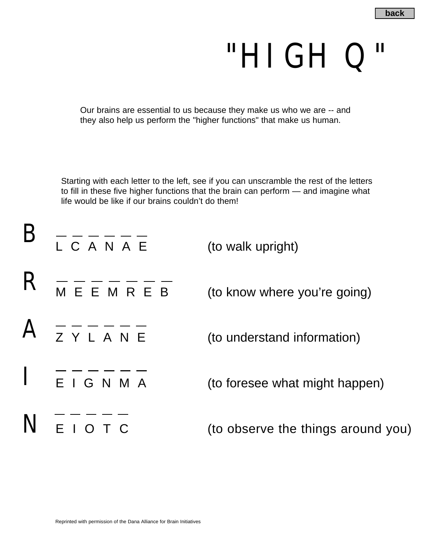## "HIGH Q"

Our brains are essential to us because they make us who we are -- and they also help us perform the "higher functions" that make us human.

Starting with each letter to the left, see if you can unscramble the rest of the letters to fill in these five higher functions that the brain can perform — and imagine what life would be like if our brains couldn't do them!

| $B = - - - -$                                                                                                                                                                                                                                                                                                                                                                                                             | (to walk upright)                  |
|---------------------------------------------------------------------------------------------------------------------------------------------------------------------------------------------------------------------------------------------------------------------------------------------------------------------------------------------------------------------------------------------------------------------------|------------------------------------|
| $R$ $     -$                                                                                                                                                                                                                                                                                                                                                                                                              | (to know where you're going)       |
| $A = - - - - -$                                                                                                                                                                                                                                                                                                                                                                                                           | (to understand information)        |
| $\begin{array}{c} \n\begin{array}{c}\n\text{} \\ \text{} \\ \text{} \\ \text{} \\ \text{} \\ \text{} \\ \text{} \\ \text{} \\ \text{} \\ \text{} \\ \text{} \\ \text{} \\ \text{} \\ \text{} \\ \text{} \\ \text{} \\ \text{} \\ \text{} \\ \text{} \\ \text{} \\ \text{} \\ \text{} \\ \text{} \\ \text{} \\ \text{} \\ \text{} \\ \text{} \\ \text{} \\ \text{} \\ \text{} \\ \text{} \\ \text{} \\ \text{} \\ \text{}$ | (to foresee what might happen)     |
| $N$ $\frac{---}{---}$                                                                                                                                                                                                                                                                                                                                                                                                     | (to observe the things around you) |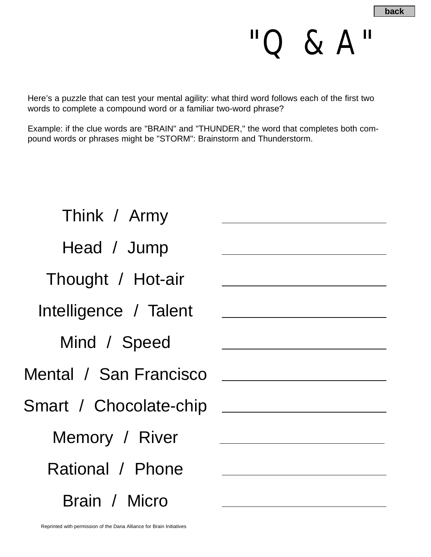"Q & A"

Here's a puzzle that can test your mental agility: what third word follows each of the first two words to complete a compound word or a familiar two-word phrase?

Example: if the clue words are "BRAIN" and "THUNDER," the word that completes both compound words or phrases might be "STORM": Brainstorm and Thunderstorm.

| Think / Army           |  |
|------------------------|--|
| Head / Jump            |  |
| Thought / Hot-air      |  |
| Intelligence / Talent  |  |
| Mind / Speed           |  |
| Mental / San Francisco |  |
| Smart / Chocolate-chip |  |
| Memory / River         |  |
| Rational / Phone       |  |
| Brain / Micro          |  |
|                        |  |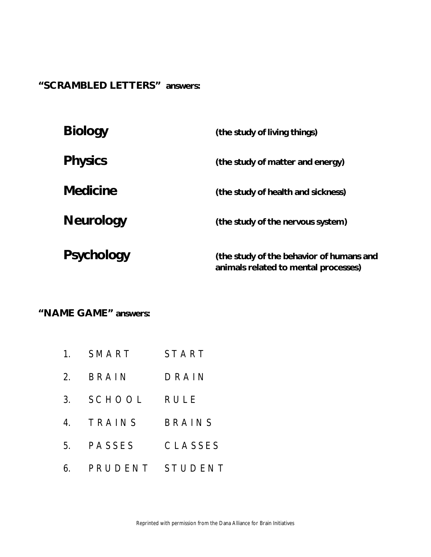**"SCRAMBLED LETTERS" answers:**

| <b>Biology</b>    | (the study of living things)                                                     |
|-------------------|----------------------------------------------------------------------------------|
| <b>Physics</b>    | (the study of matter and energy)                                                 |
| <b>Medicine</b>   | (the study of health and sickness)                                               |
| <b>Neurology</b>  | (the study of the nervous system)                                                |
| <b>Psychology</b> | (the study of the behavior of humans and<br>animals related to mental processes) |

**"NAME GAME" answers:**

- 1. SMART START
- 2. BRAIN DRAIN
- 3. SCHOOL RULE
- 4. TRAINS BRAINS
- 5. PASSES CLASSES
- 6. PRUDENT STUDENT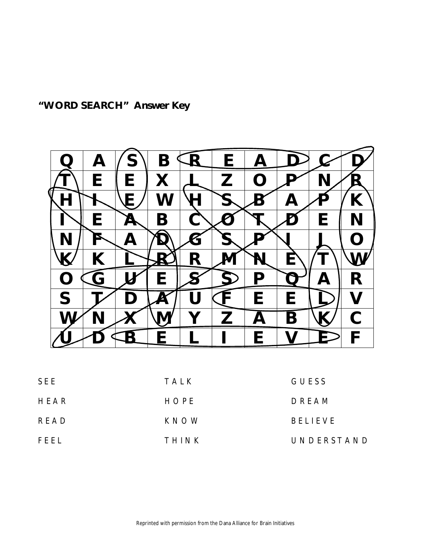**"WORD SEARCH" Answer Key**

|   | $\boldsymbol{\mathsf{A}}$ |   |   | F |   |   |   |           |
|---|---------------------------|---|---|---|---|---|---|-----------|
|   | E                         | F |   |   |   |   |   |           |
|   |                           | ▄ |   |   |   |   |   |           |
|   | Е                         |   |   |   |   |   | F |           |
|   |                           |   |   |   |   |   |   | $\bullet$ |
|   |                           |   | R |   |   | Е |   |           |
|   |                           |   |   |   | n |   |   | R         |
| S |                           |   |   |   | E | Е |   |           |
|   |                           |   |   | 7 |   | R |   | C.        |
|   |                           |   |   |   |   |   |   |           |
|   |                           |   |   |   |   |   |   |           |

| SEE  | TALK  | GUESS          |
|------|-------|----------------|
| HEAR | HOPE  | DREAM          |
| READ | KNOW  | <b>BELIEVE</b> |
| FEEL | THINK | UNDERSTAND     |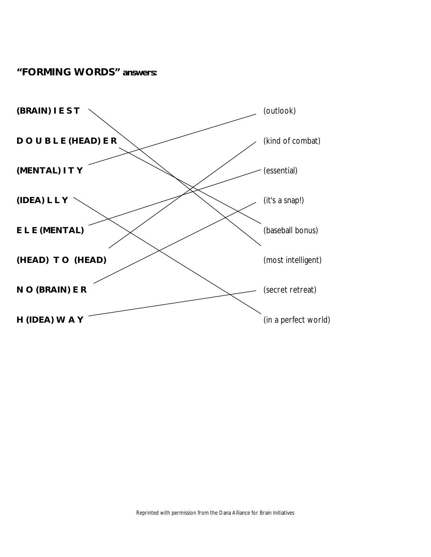#### **"FORMING WORDS" answers:**